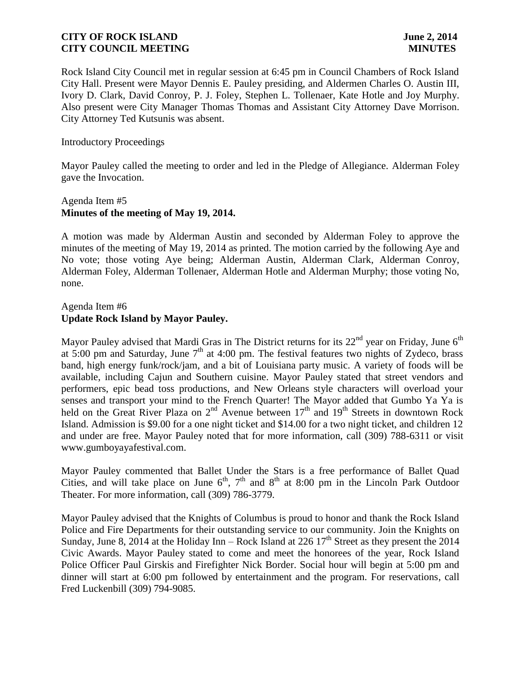Rock Island City Council met in regular session at 6:45 pm in Council Chambers of Rock Island City Hall. Present were Mayor Dennis E. Pauley presiding, and Aldermen Charles O. Austin III, Ivory D. Clark, David Conroy, P. J. Foley, Stephen L. Tollenaer, Kate Hotle and Joy Murphy. Also present were City Manager Thomas Thomas and Assistant City Attorney Dave Morrison. City Attorney Ted Kutsunis was absent.

### Introductory Proceedings

Mayor Pauley called the meeting to order and led in the Pledge of Allegiance. Alderman Foley gave the Invocation.

# Agenda Item #5 **Minutes of the meeting of May 19, 2014.**

A motion was made by Alderman Austin and seconded by Alderman Foley to approve the minutes of the meeting of May 19, 2014 as printed. The motion carried by the following Aye and No vote; those voting Aye being; Alderman Austin, Alderman Clark, Alderman Conroy, Alderman Foley, Alderman Tollenaer, Alderman Hotle and Alderman Murphy; those voting No, none.

## Agenda Item #6 **Update Rock Island by Mayor Pauley.**

Mayor Pauley advised that Mardi Gras in The District returns for its  $22<sup>nd</sup>$  year on Friday, June  $6<sup>th</sup>$ at 5:00 pm and Saturday, June  $7<sup>th</sup>$  at 4:00 pm. The festival features two nights of Zydeco, brass band, high energy funk/rock/jam, and a bit of Louisiana party music. A variety of foods will be available, including Cajun and Southern cuisine. Mayor Pauley stated that street vendors and performers, epic bead toss productions, and New Orleans style characters will overload your senses and transport your mind to the French Quarter! The Mayor added that Gumbo Ya Ya is held on the Great River Plaza on  $2<sup>nd</sup>$  Avenue between  $17<sup>th</sup>$  and  $19<sup>th</sup>$  Streets in downtown Rock Island. Admission is \$9.00 for a one night ticket and \$14.00 for a two night ticket, and children 12 and under are free. Mayor Pauley noted that for more information, call (309) 788-6311 or visit www.gumboyayafestival.com.

Mayor Pauley commented that Ballet Under the Stars is a free performance of Ballet Quad Cities, and will take place on June  $6<sup>th</sup>$ ,  $7<sup>th</sup>$  and  $8<sup>th</sup>$  at 8:00 pm in the Lincoln Park Outdoor Theater. For more information, call (309) 786-3779.

Mayor Pauley advised that the Knights of Columbus is proud to honor and thank the Rock Island Police and Fire Departments for their outstanding service to our community. Join the Knights on Sunday, June 8, 2014 at the Holiday Inn – Rock Island at 226  $17<sup>th</sup>$  Street as they present the 2014 Civic Awards. Mayor Pauley stated to come and meet the honorees of the year, Rock Island Police Officer Paul Girskis and Firefighter Nick Border. Social hour will begin at 5:00 pm and dinner will start at 6:00 pm followed by entertainment and the program. For reservations, call Fred Luckenbill (309) 794-9085.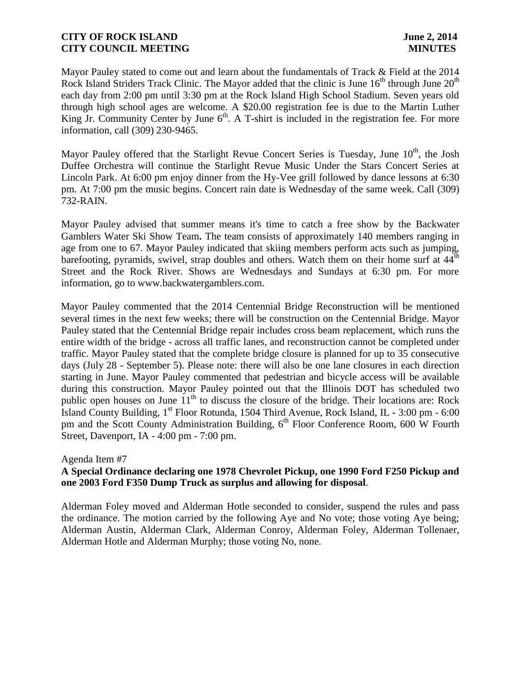Mayor Pauley stated to come out and learn about the fundamentals of Track & Field at the 2014 Rock Island Striders Track Clinic. The Mayor added that the clinic is June  $16<sup>th</sup>$  through June  $20<sup>th</sup>$ each day from 2:00 pm until 3:30 pm at the Rock Island High School Stadium. Seven years old through high school ages are welcome. A \$20.00 registration fee is due to the Martin Luther King Jr. Community Center by June  $6<sup>th</sup>$ . A T-shirt is included in the registration fee. For more information, call (309) 230-9465.

Mayor Pauley offered that the Starlight Revue Concert Series is Tuesday, June 10<sup>th</sup>, the Josh Duffee Orchestra will continue the Starlight Revue Music Under the Stars Concert Series at Lincoln Park. At 6:00 pm enjoy dinner from the Hy-Vee grill followed by dance lessons at 6:30 pm. At 7:00 pm the music begins. Concert rain date is Wednesday of the same week. Call (309) 732-RAIN.

Mayor Pauley advised that summer means it's time to catch a free show by the Backwater Gamblers Water Ski Show Team**.** The team consists of approximately 140 members ranging in age from one to 67. Mayor Pauley indicated that skiing members perform acts such as jumping, barefooting, pyramids, swivel, strap doubles and others. Watch them on their home surf at 44<sup>th</sup> Street and the Rock River. Shows are Wednesdays and Sundays at 6:30 pm. For more information, go to www.backwatergamblers.com.

Mayor Pauley commented that the 2014 Centennial Bridge Reconstruction will be mentioned several times in the next few weeks; there will be construction on the Centennial Bridge. Mayor Pauley stated that the Centennial Bridge repair includes cross beam replacement, which runs the entire width of the bridge - across all traffic lanes, and reconstruction cannot be completed under traffic. Mayor Pauley stated that the complete bridge closure is planned for up to 35 consecutive days (July 28 - September 5). Please note: there will also be one lane closures in each direction starting in June. Mayor Pauley commented that pedestrian and bicycle access will be available during this construction. Mayor Pauley pointed out that the Illinois DOT has scheduled two public open houses on June  $11<sup>th</sup>$  to discuss the closure of the bridge. Their locations are: Rock Island County Building, 1 st Floor Rotunda, 1504 Third Avenue, Rock Island, IL **-** 3:00 pm - 6:00 pm and the Scott County Administration Building, 6<sup>th</sup> Floor Conference Room, 600 W Fourth Street, Davenport, IA - 4:00 pm - 7:00 pm.

### Agenda Item #7

# **A Special Ordinance declaring one 1978 Chevrolet Pickup, one 1990 Ford F250 Pickup and one 2003 Ford F350 Dump Truck as surplus and allowing for disposal**.

Alderman Foley moved and Alderman Hotle seconded to consider, suspend the rules and pass the ordinance. The motion carried by the following Aye and No vote; those voting Aye being; Alderman Austin, Alderman Clark, Alderman Conroy, Alderman Foley, Alderman Tollenaer, Alderman Hotle and Alderman Murphy; those voting No, none.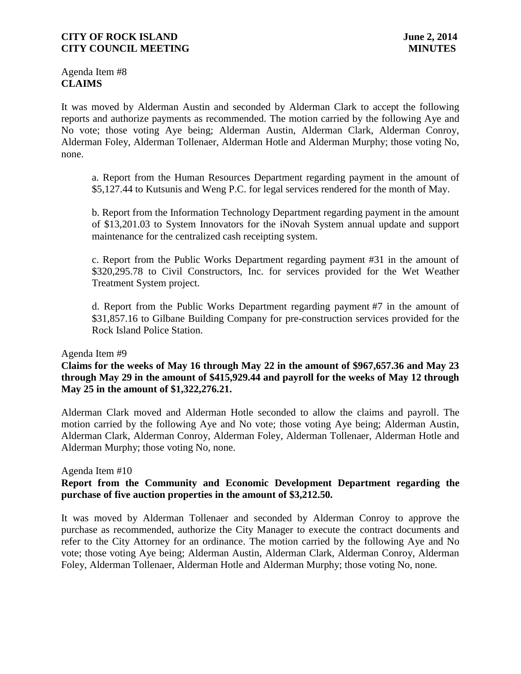Agenda Item #8 **CLAIMS**

It was moved by Alderman Austin and seconded by Alderman Clark to accept the following reports and authorize payments as recommended. The motion carried by the following Aye and No vote; those voting Aye being; Alderman Austin, Alderman Clark, Alderman Conroy, Alderman Foley, Alderman Tollenaer, Alderman Hotle and Alderman Murphy; those voting No, none.

a. Report from the Human Resources Department regarding payment in the amount of \$5,127.44 to Kutsunis and Weng P.C. for legal services rendered for the month of May.

b. Report from the Information Technology Department regarding payment in the amount of \$13,201.03 to System Innovators for the iNovah System annual update and support maintenance for the centralized cash receipting system.

c. Report from the Public Works Department regarding payment #31 in the amount of \$320,295.78 to Civil Constructors, Inc. for services provided for the Wet Weather Treatment System project.

d. Report from the Public Works Department regarding payment #7 in the amount of \$31,857.16 to Gilbane Building Company for pre-construction services provided for the Rock Island Police Station.

#### Agenda Item #9

**Claims for the weeks of May 16 through May 22 in the amount of \$967,657.36 and May 23 through May 29 in the amount of \$415,929.44 and payroll for the weeks of May 12 through May 25 in the amount of \$1,322,276.21.**

Alderman Clark moved and Alderman Hotle seconded to allow the claims and payroll. The motion carried by the following Aye and No vote; those voting Aye being; Alderman Austin, Alderman Clark, Alderman Conroy, Alderman Foley, Alderman Tollenaer, Alderman Hotle and Alderman Murphy; those voting No, none.

Agenda Item #10

# **Report from the Community and Economic Development Department regarding the purchase of five auction properties in the amount of \$3,212.50.**

It was moved by Alderman Tollenaer and seconded by Alderman Conroy to approve the purchase as recommended, authorize the City Manager to execute the contract documents and refer to the City Attorney for an ordinance. The motion carried by the following Aye and No vote; those voting Aye being; Alderman Austin, Alderman Clark, Alderman Conroy, Alderman Foley, Alderman Tollenaer, Alderman Hotle and Alderman Murphy; those voting No, none.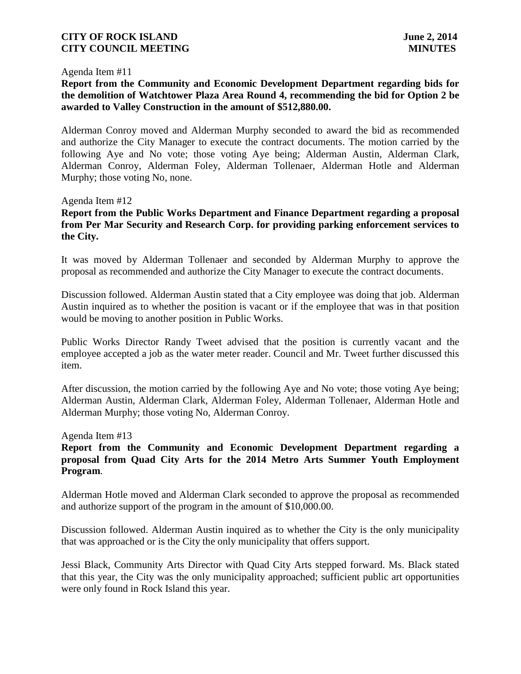#### Agenda Item #11

# **Report from the Community and Economic Development Department regarding bids for the demolition of Watchtower Plaza Area Round 4, recommending the bid for Option 2 be awarded to Valley Construction in the amount of \$512,880.00.**

Alderman Conroy moved and Alderman Murphy seconded to award the bid as recommended and authorize the City Manager to execute the contract documents. The motion carried by the following Aye and No vote; those voting Aye being; Alderman Austin, Alderman Clark, Alderman Conroy, Alderman Foley, Alderman Tollenaer, Alderman Hotle and Alderman Murphy; those voting No, none.

#### Agenda Item #12

## **Report from the Public Works Department and Finance Department regarding a proposal from Per Mar Security and Research Corp. for providing parking enforcement services to the City.**

It was moved by Alderman Tollenaer and seconded by Alderman Murphy to approve the proposal as recommended and authorize the City Manager to execute the contract documents.

Discussion followed. Alderman Austin stated that a City employee was doing that job. Alderman Austin inquired as to whether the position is vacant or if the employee that was in that position would be moving to another position in Public Works.

Public Works Director Randy Tweet advised that the position is currently vacant and the employee accepted a job as the water meter reader. Council and Mr. Tweet further discussed this item.

After discussion, the motion carried by the following Aye and No vote; those voting Aye being; Alderman Austin, Alderman Clark, Alderman Foley, Alderman Tollenaer, Alderman Hotle and Alderman Murphy; those voting No, Alderman Conroy.

#### Agenda Item #13

# **Report from the Community and Economic Development Department regarding a proposal from Quad City Arts for the 2014 Metro Arts Summer Youth Employment Program**.

Alderman Hotle moved and Alderman Clark seconded to approve the proposal as recommended and authorize support of the program in the amount of \$10,000.00.

Discussion followed. Alderman Austin inquired as to whether the City is the only municipality that was approached or is the City the only municipality that offers support.

Jessi Black, Community Arts Director with Quad City Arts stepped forward. Ms. Black stated that this year, the City was the only municipality approached; sufficient public art opportunities were only found in Rock Island this year.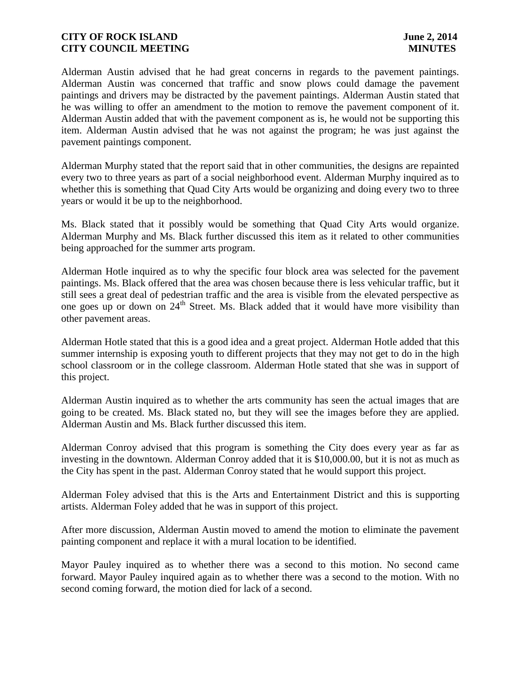Alderman Austin advised that he had great concerns in regards to the pavement paintings. Alderman Austin was concerned that traffic and snow plows could damage the pavement paintings and drivers may be distracted by the pavement paintings. Alderman Austin stated that he was willing to offer an amendment to the motion to remove the pavement component of it. Alderman Austin added that with the pavement component as is, he would not be supporting this item. Alderman Austin advised that he was not against the program; he was just against the pavement paintings component.

Alderman Murphy stated that the report said that in other communities, the designs are repainted every two to three years as part of a social neighborhood event. Alderman Murphy inquired as to whether this is something that Quad City Arts would be organizing and doing every two to three years or would it be up to the neighborhood.

Ms. Black stated that it possibly would be something that Quad City Arts would organize. Alderman Murphy and Ms. Black further discussed this item as it related to other communities being approached for the summer arts program.

Alderman Hotle inquired as to why the specific four block area was selected for the pavement paintings. Ms. Black offered that the area was chosen because there is less vehicular traffic, but it still sees a great deal of pedestrian traffic and the area is visible from the elevated perspective as one goes up or down on  $24<sup>th</sup>$  Street. Ms. Black added that it would have more visibility than other pavement areas.

Alderman Hotle stated that this is a good idea and a great project. Alderman Hotle added that this summer internship is exposing youth to different projects that they may not get to do in the high school classroom or in the college classroom. Alderman Hotle stated that she was in support of this project.

Alderman Austin inquired as to whether the arts community has seen the actual images that are going to be created. Ms. Black stated no, but they will see the images before they are applied. Alderman Austin and Ms. Black further discussed this item.

Alderman Conroy advised that this program is something the City does every year as far as investing in the downtown. Alderman Conroy added that it is \$10,000.00, but it is not as much as the City has spent in the past. Alderman Conroy stated that he would support this project.

Alderman Foley advised that this is the Arts and Entertainment District and this is supporting artists. Alderman Foley added that he was in support of this project.

After more discussion, Alderman Austin moved to amend the motion to eliminate the pavement painting component and replace it with a mural location to be identified.

Mayor Pauley inquired as to whether there was a second to this motion. No second came forward. Mayor Pauley inquired again as to whether there was a second to the motion. With no second coming forward, the motion died for lack of a second.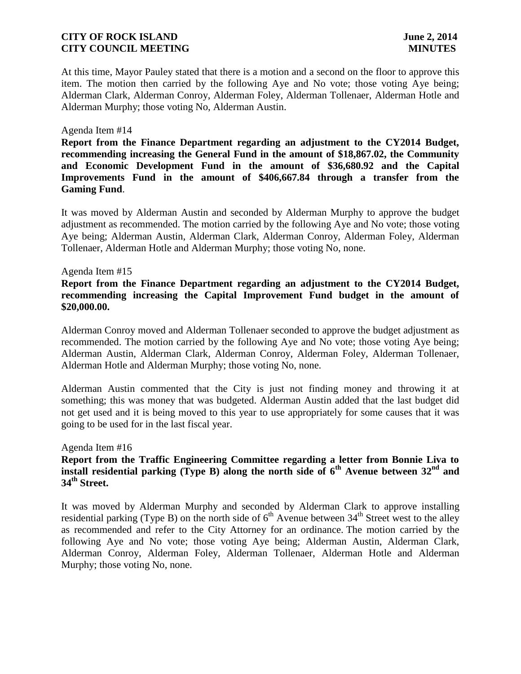At this time, Mayor Pauley stated that there is a motion and a second on the floor to approve this item. The motion then carried by the following Aye and No vote; those voting Aye being; Alderman Clark, Alderman Conroy, Alderman Foley, Alderman Tollenaer, Alderman Hotle and Alderman Murphy; those voting No, Alderman Austin.

#### Agenda Item #14

**Report from the Finance Department regarding an adjustment to the CY2014 Budget, recommending increasing the General Fund in the amount of \$18,867.02, the Community and Economic Development Fund in the amount of \$36,680.92 and the Capital Improvements Fund in the amount of \$406,667.84 through a transfer from the Gaming Fund**.

It was moved by Alderman Austin and seconded by Alderman Murphy to approve the budget adjustment as recommended. The motion carried by the following Aye and No vote; those voting Aye being; Alderman Austin, Alderman Clark, Alderman Conroy, Alderman Foley, Alderman Tollenaer, Alderman Hotle and Alderman Murphy; those voting No, none.

#### Agenda Item #15

# **Report from the Finance Department regarding an adjustment to the CY2014 Budget, recommending increasing the Capital Improvement Fund budget in the amount of \$20,000.00.**

Alderman Conroy moved and Alderman Tollenaer seconded to approve the budget adjustment as recommended. The motion carried by the following Aye and No vote; those voting Aye being; Alderman Austin, Alderman Clark, Alderman Conroy, Alderman Foley, Alderman Tollenaer, Alderman Hotle and Alderman Murphy; those voting No, none.

Alderman Austin commented that the City is just not finding money and throwing it at something; this was money that was budgeted. Alderman Austin added that the last budget did not get used and it is being moved to this year to use appropriately for some causes that it was going to be used for in the last fiscal year.

#### Agenda Item #16

# **Report from the Traffic Engineering Committee regarding a letter from Bonnie Liva to install residential parking (Type B) along the north side of 6th Avenue between 32nd and 34th Street.**

It was moved by Alderman Murphy and seconded by Alderman Clark to approve installing residential parking (Type B) on the north side of  $6<sup>th</sup>$  Avenue between 34<sup>th</sup> Street west to the alley as recommended and refer to the City Attorney for an ordinance. The motion carried by the following Aye and No vote; those voting Aye being; Alderman Austin, Alderman Clark, Alderman Conroy, Alderman Foley, Alderman Tollenaer, Alderman Hotle and Alderman Murphy; those voting No, none.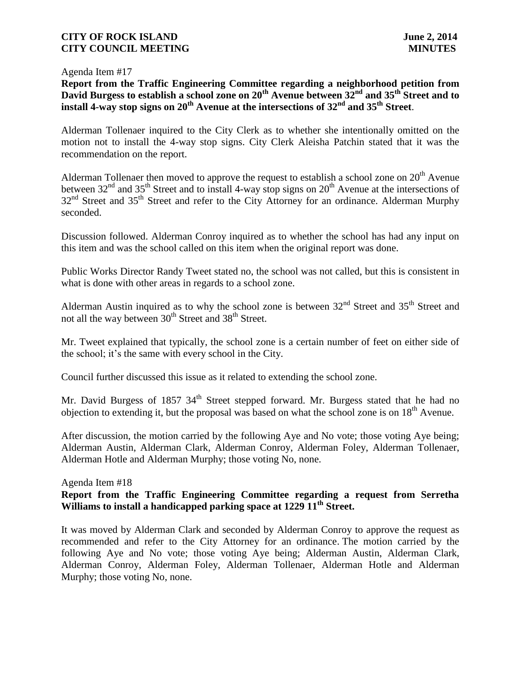#### Agenda Item #17

# **Report from the Traffic Engineering Committee regarding a neighborhood petition from David Burgess to establish a school zone on 20th Avenue between 32nd and 35th Street and to install 4-way stop signs on 20th Avenue at the intersections of 32nd and 35th Street**.

Alderman Tollenaer inquired to the City Clerk as to whether she intentionally omitted on the motion not to install the 4-way stop signs. City Clerk Aleisha Patchin stated that it was the recommendation on the report.

Alderman Tollenaer then moved to approve the request to establish a school zone on  $20<sup>th</sup>$  Avenue between  $32<sup>nd</sup>$  and  $35<sup>th</sup>$  Street and to install 4-way stop signs on  $20<sup>th</sup>$  Avenue at the intersections of 32<sup>nd</sup> Street and 35<sup>th</sup> Street and refer to the City Attorney for an ordinance. Alderman Murphy seconded.

Discussion followed. Alderman Conroy inquired as to whether the school has had any input on this item and was the school called on this item when the original report was done.

Public Works Director Randy Tweet stated no, the school was not called, but this is consistent in what is done with other areas in regards to a school zone.

Alderman Austin inquired as to why the school zone is between  $32<sup>nd</sup>$  Street and  $35<sup>th</sup>$  Street and not all the way between  $30<sup>th</sup>$  Street and  $38<sup>th</sup>$  Street.

Mr. Tweet explained that typically, the school zone is a certain number of feet on either side of the school; it's the same with every school in the City.

Council further discussed this issue as it related to extending the school zone.

Mr. David Burgess of 1857  $34<sup>th</sup>$  Street stepped forward. Mr. Burgess stated that he had no objection to extending it, but the proposal was based on what the school zone is on  $18<sup>th</sup>$  Avenue.

After discussion, the motion carried by the following Aye and No vote; those voting Aye being; Alderman Austin, Alderman Clark, Alderman Conroy, Alderman Foley, Alderman Tollenaer, Alderman Hotle and Alderman Murphy; those voting No, none.

### Agenda Item #18 **Report from the Traffic Engineering Committee regarding a request from Serretha Williams to install a handicapped parking space at 1229 11th Street.**

It was moved by Alderman Clark and seconded by Alderman Conroy to approve the request as recommended and refer to the City Attorney for an ordinance. The motion carried by the following Aye and No vote; those voting Aye being; Alderman Austin, Alderman Clark, Alderman Conroy, Alderman Foley, Alderman Tollenaer, Alderman Hotle and Alderman Murphy; those voting No, none.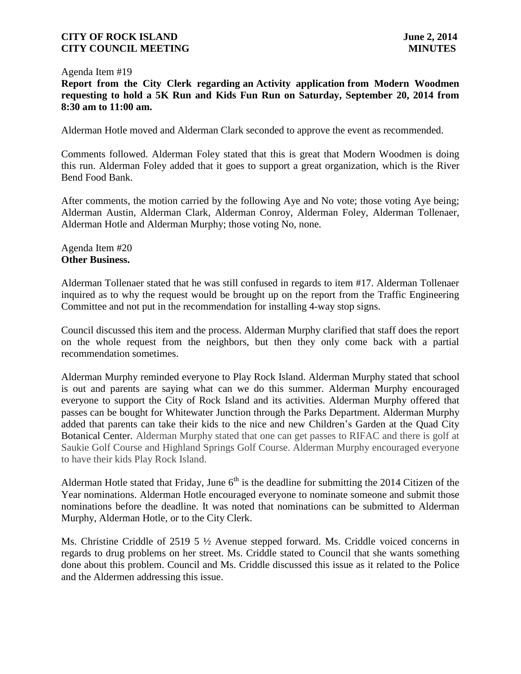#### Agenda Item #19

**Report from the City Clerk regarding an Activity application from Modern Woodmen requesting to hold a 5K Run and Kids Fun Run on Saturday, September 20, 2014 from 8:30 am to 11:00 am.**

Alderman Hotle moved and Alderman Clark seconded to approve the event as recommended.

Comments followed. Alderman Foley stated that this is great that Modern Woodmen is doing this run. Alderman Foley added that it goes to support a great organization, which is the River Bend Food Bank.

After comments, the motion carried by the following Aye and No vote; those voting Aye being; Alderman Austin, Alderman Clark, Alderman Conroy, Alderman Foley, Alderman Tollenaer, Alderman Hotle and Alderman Murphy; those voting No, none.

## Agenda Item #20 **Other Business.**

Alderman Tollenaer stated that he was still confused in regards to item #17. Alderman Tollenaer inquired as to why the request would be brought up on the report from the Traffic Engineering Committee and not put in the recommendation for installing 4-way stop signs.

Council discussed this item and the process. Alderman Murphy clarified that staff does the report on the whole request from the neighbors, but then they only come back with a partial recommendation sometimes.

Alderman Murphy reminded everyone to Play Rock Island. Alderman Murphy stated that school is out and parents are saying what can we do this summer. Alderman Murphy encouraged everyone to support the City of Rock Island and its activities. Alderman Murphy offered that passes can be bought for Whitewater Junction through the Parks Department. Alderman Murphy added that parents can take their kids to the nice and new Children's Garden at the Quad City Botanical Center. Alderman Murphy stated that one can get passes to RIFAC and there is golf at Saukie Golf Course and Highland Springs Golf Course. Alderman Murphy encouraged everyone to have their kids Play Rock Island.

Alderman Hotle stated that Friday, June  $6<sup>th</sup>$  is the deadline for submitting the 2014 Citizen of the Year nominations. Alderman Hotle encouraged everyone to nominate someone and submit those nominations before the deadline. It was noted that nominations can be submitted to Alderman Murphy, Alderman Hotle, or to the City Clerk.

Ms. Christine Criddle of 2519 5 ½ Avenue stepped forward. Ms. Criddle voiced concerns in regards to drug problems on her street. Ms. Criddle stated to Council that she wants something done about this problem. Council and Ms. Criddle discussed this issue as it related to the Police and the Aldermen addressing this issue.